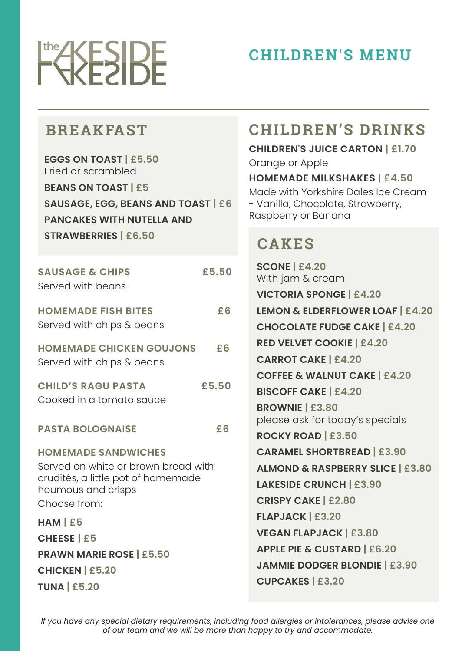

# **CHILDREN'S MENU**

### **BREAKFAST**

**EGGS ON TOAST | £5.50** Fried or scrambled

**BEANS ON TOAST | £5 SAUSAGE, EGG, BEANS AND TOAST | £6 PANCAKES WITH NUTELLA AND** 

**STRAWBERRIES | £6.50**

| <b>SAUSAGE &amp; CHIPS</b><br>Served with beans                                                                                               | £5.50 |
|-----------------------------------------------------------------------------------------------------------------------------------------------|-------|
| <b>HOMEMADE FISH BITES</b><br>Served with chips & beans                                                                                       | £6    |
| <b>HOMEMADE CHICKEN GOUJONS</b><br>Served with chips & beans                                                                                  | £6    |
| <b>CHILD'S RAGU PASTA</b><br>Cooked in a tomato sauce                                                                                         | £5.50 |
| <b>PASTA BOLOGNAISE</b>                                                                                                                       | £6    |
| <b>HOMEMADE SANDWICHES</b><br>Served on white or brown bread with<br>crudités, a little pot of homemade<br>houmous and crisps<br>Choose from: |       |
| $HAM \, \vert \, \pounds 5$                                                                                                                   |       |
| <b>CHEESE   £5</b>                                                                                                                            |       |
|                                                                                                                                               |       |

**PRAWN MARIE ROSE | £5.50 CHICKEN | £5.20 TUNA | £5.20**

## **CHILDREN'S DRINKS**

#### **CHILDREN'S JUICE CARTON | £1.70** Orange or Apple

#### **HOMEMADE MILKSHAKES | £4.50**

Made with Yorkshire Dales Ice Cream - Vanilla, Chocolate, Strawberry, Raspberry or Banana

# **CAKES**

**SCONE | £4.20** With jam & cream **VICTORIA SPONGE | £4.20 LEMON & ELDERFLOWER LOAF | £4.20 CHOCOLATE FUDGE CAKE | £4.20 RED VELVET COOKIE | £4.20 CARROT CAKE | £4.20 COFFEE & WALNUT CAKE | £4.20 BISCOFF CAKE | £4.20 BROWNIE | £3.80** please ask for today's specials **ROCKY ROAD | £3.50 CARAMEL SHORTBREAD | £3.90 ALMOND & RASPBERRY SLICE | £3.80 LAKESIDE CRUNCH | £3.90 CRISPY CAKE | £2.80 FLAPJACK | £3.20 VEGAN FLAPJACK | £3.80 APPLE PIE & CUSTARD | £6.20 JAMMIE DODGER BLONDIE | £3.90 CUPCAKES | £3.20**

*If you have any special dietary requirements, including food allergies or intolerances, please advise one of our team and we will be more than happy to try and accommodate.*